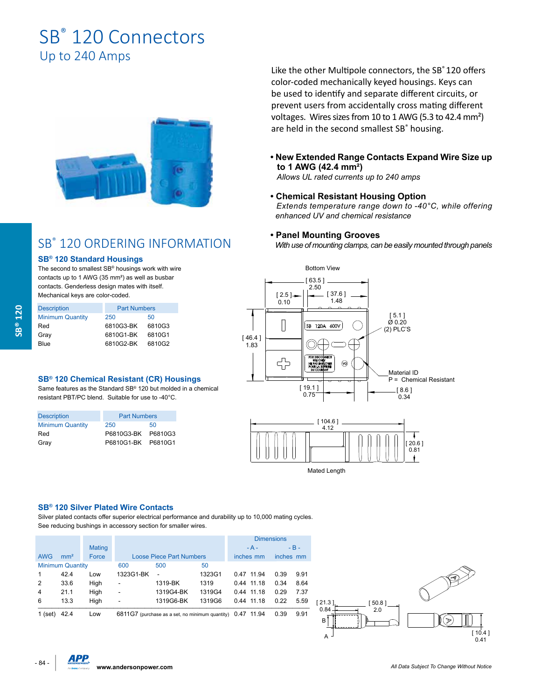# SB<sup>®</sup> 120 Connectors Up to 240 Amps



## SB® 120 ORDERING INFORMATION

#### **SB® 120 Standard Housings**

The second to smallest SB® housings work with wire contacts up to 1 AWG (35 mm²) as well as busbar contacts. Genderless design mates with itself. Mechanical keys are color-coded.

| <b>Description</b>      | <b>Part Numbers</b> |        |
|-------------------------|---------------------|--------|
| <b>Minimum Quantity</b> | 250                 | 50     |
| Red                     | 6810G3-BK           | 6810G3 |
| Gray                    | 6810G1-BK           | 6810G1 |
| Blue                    | 6810G2-BK           | 6810G2 |

#### **SB® 120 Chemical Resistant (CR) Housings**

Same features as the Standard SB® 120 but molded in a chemical resistant PBT/PC blend. Suitable for use to -40°C.

| <b>Description</b>      | <b>Part Numbers</b> |         |  |
|-------------------------|---------------------|---------|--|
| <b>Minimum Quantity</b> | 250                 | 50      |  |
| Red                     | P6810G3-BK          | P6810G3 |  |
| Grav                    | P6810G1-BK P6810G1  |         |  |

Like the other Multipole connectors, the SB® 120 offers color-coded mechanically keyed housings. Keys can be used to identify and separate different circuits, or prevent users from accidentally cross mating different voltages. Wires sizes from 10 to 1 AWG (5.3 to 42.4 mm²) are held in the second smallest SB<sup>®</sup> housing.

**• New Extended Range Contacts Expand Wire Size up to 1 AWG (42.4 mm²)**

 *Allows UL rated currents up to 240 amps*

**• Chemical Resistant Housing Option**  *Extends temperature range down to -40°C, while offering enhanced UV and chemical resistance*

#### **• Panel Mounting Grooves**

 *With use of mounting clamps, can be easily mounted through panels*





#### **SB® 120 Silver Plated Wire Contacts**

Silver plated contacts offer superior electrical performance and durability up to 10,000 mating cycles. See reducing bushings in accessory section for smaller wires.

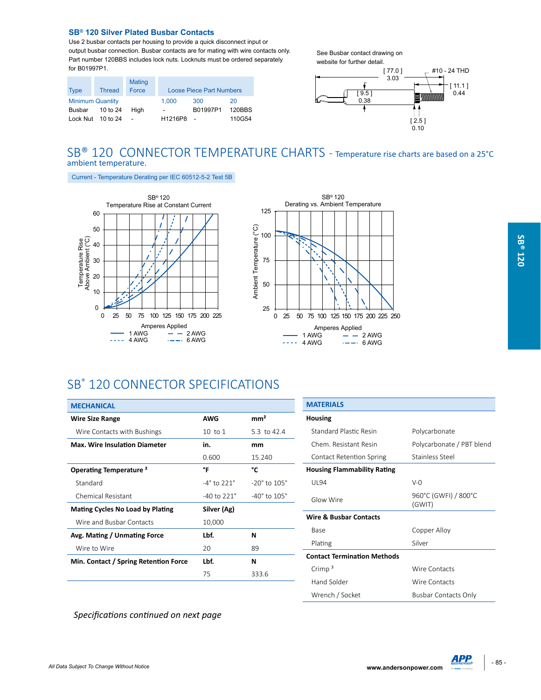#### **SB® 120 Silver Plated Busbar Contacts**

Use 2 busbar contacts per housing to provide a quick disconnect input or output busbar connection. Busbar contacts are for mating with wire contacts only. Part number 120BBS includes lock nuts. Locknuts must be ordered separately for B01997P1.

|                         |                   | Mating |                          |                                 |        |
|-------------------------|-------------------|--------|--------------------------|---------------------------------|--------|
| <b>Type</b>             | <b>Thread</b>     | Force  |                          | <b>Loose Piece Part Numbers</b> |        |
| <b>Minimum Quantity</b> |                   |        | 1.000                    | 300                             | 20     |
| Busbar                  | 10 to 24          | Hiah   | $\overline{\phantom{0}}$ | B01997P1                        | 120BBS |
|                         | Lock Nut 10 to 24 |        | H1216P8                  | $\sim$                          | 110G54 |

See Busbar contact drawing on website for further detail.



### SB<sup>®</sup> 120 CONNECTOR TEMPERATURE CHARTS - Temperature rise charts are based on a 25°C ambient temperature.

Current - Temperature Derating per IEC 60512-5-2 Test 5B





### SB® 120 CONNECTOR SPECIFICATIONS

| <b>MECHANICAL</b>                       |                            |                                |
|-----------------------------------------|----------------------------|--------------------------------|
| <b>Wire Size Range</b>                  | <b>AWG</b>                 | mm <sup>2</sup>                |
| Wire Contacts with Bushings             | $10$ to $1$                | 5.3 to 42.4                    |
| <b>Max. Wire Insulation Diameter</b>    | in.                        | mm                             |
|                                         | 0.600                      | 15.240                         |
| Operating Temperature <sup>2</sup>      | °F                         | °c                             |
| Standard                                | $-4^\circ$ to 221 $^\circ$ | $-20^\circ$ to $105^\circ$     |
| Chemical Resistant                      | $-40$ to $221^\circ$       | $-40^{\circ}$ to $105^{\circ}$ |
| <b>Mating Cycles No Load by Plating</b> | Silver (Ag)                |                                |
| Wire and Busbar Contacts                | 10,000                     |                                |
| Avg. Mating / Unmating Force            | Lbf.                       | N                              |
| Wire to Wire                            | 20                         | 89                             |
| Min. Contact / Spring Retention Force   | Lbf.                       | N                              |
|                                         | 75                         | 333.6                          |

| <b>MATERIALS</b>                   |                                |
|------------------------------------|--------------------------------|
| Housing                            |                                |
| <b>Standard Plastic Resin</b>      | Polycarbonate                  |
| Chem. Resistant Resin              | Polycarbonate / PBT blend      |
| <b>Contact Retention Spring</b>    | Stainless Steel                |
| <b>Housing Flammability Rating</b> |                                |
| UI 94                              | $V - 0$                        |
| Glow Wire                          | 960°C (GWFI) / 800°C<br>(GWIT) |
| Wire & Busbar Contacts             |                                |
| Base                               | Copper Alloy                   |
| Plating                            | Silver                         |
| <b>Contact Termination Methods</b> |                                |
| Crimp $3$                          | Wire Contacts                  |
| Hand Solder                        | Wire Contacts                  |
| Wrench / Socket                    | Busbar Contacts Only           |

*Specifications continued on next page*

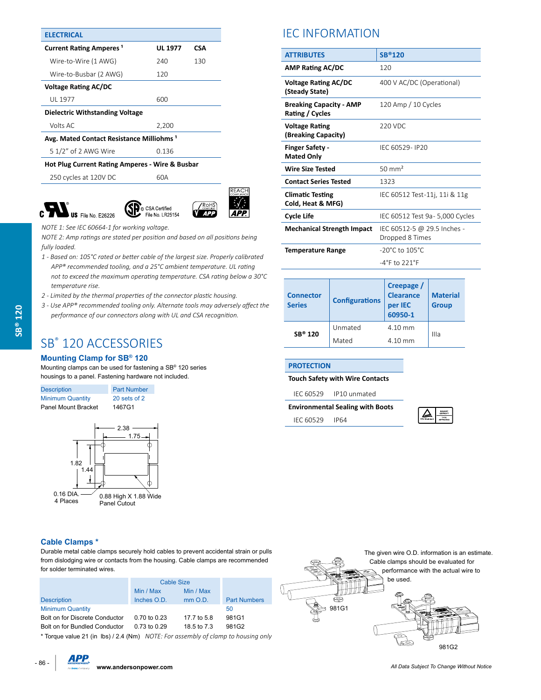| <b>ELECTRICAL</b>                                          |                |            |  |  |
|------------------------------------------------------------|----------------|------------|--|--|
| <b>Current Rating Amperes<sup>1</sup></b>                  | <b>UL 1977</b> | <b>CSA</b> |  |  |
| Wire-to-Wire (1 AWG)                                       | 240            | 130        |  |  |
| Wire-to-Busbar (2 AWG)                                     | 120            |            |  |  |
| <b>Voltage Rating AC/DC</b>                                |                |            |  |  |
| UL 1977                                                    | 600            |            |  |  |
| <b>Dielectric Withstanding Voltage</b>                     |                |            |  |  |
| Volts AC                                                   | 2,200          |            |  |  |
| Avg. Mated Contact Resistance Milliohms <sup>1</sup>       |                |            |  |  |
| 5 1/2" of 2 AWG Wire                                       | 0.136          |            |  |  |
| <b>Hot Plug Current Rating Amperes - Wire &amp; Busbar</b> |                |            |  |  |
| 250 cycles at 120V DC                                      | 60A            |            |  |  |

 $\mathbf{F}_3$ 



US File No. E26226 *NOTE 1: See IEC 60664-1 for working voltage.*

*NOTE 2: Amp ratings are stated per position and based on all positions being fully loaded.* 

© CSA Certified

File No. LR25154

- *1 Based on: 105°C rated or better cable of the largest size. Properly calibrated APP® recommended tooling, and a 25°C ambient temperature. UL rating not to exceed the maximum operating temperature. CSA rating below a 30°C temperature rise.*
- *2 Limited by the thermal properties of the connector plastic housing.*
- *3 Use APP® recommended tooling only. Alternate tools may adversely affect the performance of our connectors along with UL and CSA recognition.*

## SB® 120 ACCESSORIES

### **Mounting Clamp for SB® 120**

Mounting clamps can be used for fastening a SB® 120 series housings to a panel. Fastening hardware not included.

Description **Part Number** Minimum Quantity 20 sets of 2 Panel Mount Bracket 1467G1



# **IEC INFORMATION**

| <b>ATTRIBUTES</b>                                 | <b>SB®120</b>                                  |
|---------------------------------------------------|------------------------------------------------|
| <b>AMP Rating AC/DC</b>                           | 120                                            |
| <b>Voltage Rating AC/DC</b><br>(Steady State)     | 400 V AC/DC (Operational)                      |
| <b>Breaking Capacity - AMP</b><br>Rating / Cycles | 120 Amp / 10 Cycles                            |
| <b>Voltage Rating</b><br>(Breaking Capacity)      | 220 VDC                                        |
| <b>Finger Safety -</b><br><b>Mated Only</b>       | IFC 60529- IP20                                |
| <b>Wire Size Tested</b>                           | $50 \text{ mm}^2$                              |
| <b>Contact Series Tested</b>                      | 1323                                           |
| <b>Climatic Testing</b><br>Cold, Heat & MFG)      | IEC 60512 Test-11j, 11j & 11g                  |
| <b>Cycle Life</b>                                 | IEC 60512 Test 9a - 5,000 Cycles               |
| <b>Mechanical Strength Impact</b>                 | IEC 60512-5 @ 29.5 Inches -<br>Dropped 8 Times |
| <b>Temperature Range</b>                          | $-20^{\circ}$ C to $105^{\circ}$ C             |
|                                                   | $-4^{\circ}$ F to 221 $^{\circ}$ F             |

| <b>Connector</b><br><b>Series</b> | <b>Configurations</b> | Creepage /<br>Clearance<br>per IEC<br>60950-1 | <b>Material</b><br><b>Group</b> |  |
|-----------------------------------|-----------------------|-----------------------------------------------|---------------------------------|--|
| SB <sup>®</sup> 120               | Unmated               | 4.10 mm                                       | Illa                            |  |
|                                   | Mated                 | 4.10 mm                                       |                                 |  |

**PROTECTION**

#### **Touch Safety with Wire Contacts**

IEC 60529 IP10 unmated

**Environmental Sealing with Boots**

IEC 60529 IP64



#### **Cable Clamps \***

Durable metal cable clamps securely hold cables to prevent accidental strain or pulls from dislodging wire or contacts from the housing. Cable clamps are recommended for solder terminated wires.

|                                                                                   | <b>Cable Size</b> |             |                     |  |
|-----------------------------------------------------------------------------------|-------------------|-------------|---------------------|--|
|                                                                                   | Min / Max         | Min / Max   |                     |  |
| <b>Description</b>                                                                | Inches O.D.       | $mm$ O.D.   | <b>Part Numbers</b> |  |
| <b>Minimum Quantity</b>                                                           |                   |             | 50                  |  |
| Bolt on for Discrete Conductor                                                    | 0.70 to 0.23      | 17.7 to 5.8 | 981G1               |  |
| Bolt on for Bundled Conductor                                                     | 0.73 to 0.29      | 18.5 to 7.3 | 981G2               |  |
| * Torque value 21 (in lbs) / 2.4 (Nm) NOTE: For assembly of clamp to housing only |                   |             |                     |  |



- 86 - **www.andersonpower.com** *All Data Subject To Change Without Notice*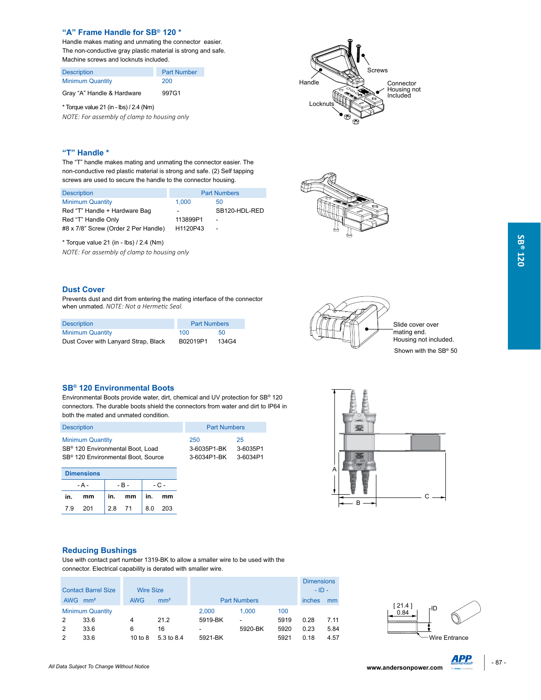#### **"A" Frame Handle for SB® 120 \***

Handle makes mating and unmating the connector easier. The non-conductive gray plastic material is strong and safe. Machine screws and locknuts included.

Description **Part Number** Minimum Quantity 200

Gray "A" Handle & Hardware 997G1

\* Torque value 21 (in - lbs) / 2.4 (Nm) *NOTE: For assembly of clamp to housing only*



### **"T" Handle \***

The "T" handle makes mating and unmating the connector easier. The non-conductive red plastic material is strong and safe. (2) Self tapping screws are used to secure the handle to the connector housing.

| <b>Description</b>                   | <b>Part Numbers</b>      |                          |
|--------------------------------------|--------------------------|--------------------------|
| <b>Minimum Quantity</b>              | 1.000                    | 50                       |
| Red "T" Handle + Hardware Bag        | $\overline{\phantom{a}}$ | SB120-HDL-RED            |
| Red "T" Handle Only                  | 113899P1                 | $\overline{\phantom{a}}$ |
| #8 x 7/8" Screw (Order 2 Per Handle) | H1120P43                 |                          |

\* Torque value 21 (in - lbs) / 2.4 (Nm)

*NOTE: For assembly of clamp to housing only* 



#### **Dust Cover**

Prevents dust and dirt from entering the mating interface of the connector when unmated. *NOTE: Not a Hermetic Seal.*

| <b>Description</b>                   | <b>Part Numbers</b> |       |
|--------------------------------------|---------------------|-------|
| <b>Minimum Quantity</b>              | 100                 | 50    |
| Dust Cover with Lanyard Strap, Black | B02019P1            | 134G4 |



Slide cover over .<br>mating end. Housing not included. Shown with the SB<sup>®</sup> 50

#### **SB® 120 Environmental Boots**

Environmental Boots provide water, dirt, chemical and UV protection for SB® 120 connectors. The durable boots shield the connectors from water and dirt to IP64 in both the mated and unmated condition.

| <b>Description</b>                             | <b>Part Numbers</b> |          |
|------------------------------------------------|---------------------|----------|
| <b>Minimum Quantity</b>                        | 250                 | 25       |
| SB <sup>®</sup> 120 Environmental Boot, Load   | 3-6035P1-BK         | 3-6035P1 |
| SB <sup>®</sup> 120 Environmental Boot, Source | 3-6034P1-BK         | 3-6034P1 |
|                                                |                     |          |

|       | <b>Dimensions</b> |     |        |        |         |  |
|-------|-------------------|-----|--------|--------|---------|--|
| - A - |                   |     | $-B -$ | $-C -$ |         |  |
| in.   | mm                | in. | mm     |        | in. mm  |  |
| 7.9   | 201               | 2.8 | 71     |        | 8.0 203 |  |



#### **Reducing Bushings**

Use with contact part number 1319-BK to allow a smaller wire to be used with the connector. Electrical capability is derated with smaller wire.

|                                                |            |                 |                     |                          |      | <b>Dimensions</b> |      |
|------------------------------------------------|------------|-----------------|---------------------|--------------------------|------|-------------------|------|
| <b>Contact Barrel Size</b><br><b>Wire Size</b> |            |                 | $-$ ID $-$          |                          |      |                   |      |
| <b>AWG</b><br>mm <sup>2</sup>                  | <b>AWG</b> | mm <sup>2</sup> | <b>Part Numbers</b> | inches                   | mm   |                   |      |
| <b>Minimum Quantity</b>                        |            |                 | 2.000               | 1.000                    | 100  |                   |      |
| 33.6<br>2                                      | 4          | 21.2            | 5919-BK             | $\overline{\phantom{a}}$ | 5919 | 0.28              | 7.11 |
| 2<br>33.6                                      | 6          | 16              | ۰                   | 5920-BK                  | 5920 | 0.23              | 5.84 |
| 2<br>33.6                                      | 10 to $8$  | 5.3 to 8.4      | 5921-BK             |                          | 5921 | 0.18              | 4.57 |



**SB® 120**